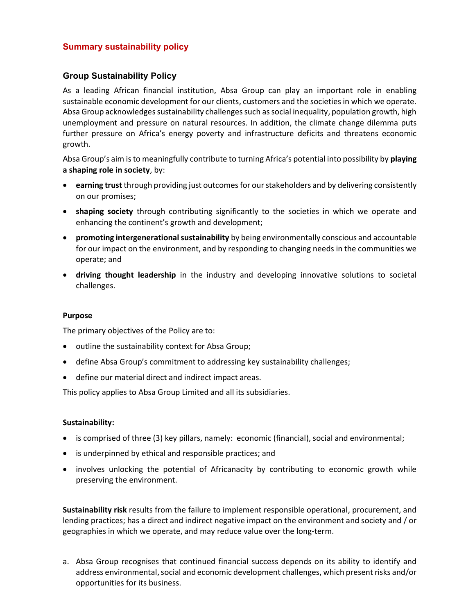# Summary sustainability policy

## Group Sustainability Policy

As a leading African financial institution, Absa Group can play an important role in enabling sustainable economic development for our clients, customers and the societies in which we operate. Absa Group acknowledges sustainability challenges such as social inequality, population growth, high unemployment and pressure on natural resources. In addition, the climate change dilemma puts further pressure on Africa's energy poverty and infrastructure deficits and threatens economic growth.

Absa Group's aim is to meaningfully contribute to turning Africa's potential into possibility by playing a shaping role in society, by:

- **e** earning trust through providing just outcomes for our stakeholders and by delivering consistently on our promises;
- shaping society through contributing significantly to the societies in which we operate and enhancing the continent's growth and development;
- promoting intergenerational sustainability by being environmentally conscious and accountable for our impact on the environment, and by responding to changing needs in the communities we operate; and
- driving thought leadership in the industry and developing innovative solutions to societal challenges.

#### Purpose

The primary objectives of the Policy are to:

- $\bullet$  outline the sustainability context for Absa Group;
- define Absa Group's commitment to addressing key sustainability challenges;
- define our material direct and indirect impact areas.

This policy applies to Absa Group Limited and all its subsidiaries.

#### Sustainability:

- is comprised of three (3) key pillars, namely: economic (financial), social and environmental;
- is underpinned by ethical and responsible practices; and
- involves unlocking the potential of Africanacity by contributing to economic growth while preserving the environment.

Sustainability risk results from the failure to implement responsible operational, procurement, and lending practices; has a direct and indirect negative impact on the environment and society and / or geographies in which we operate, and may reduce value over the long-term.

a. Absa Group recognises that continued financial success depends on its ability to identify and address environmental, social and economic development challenges, which present risks and/or opportunities for its business.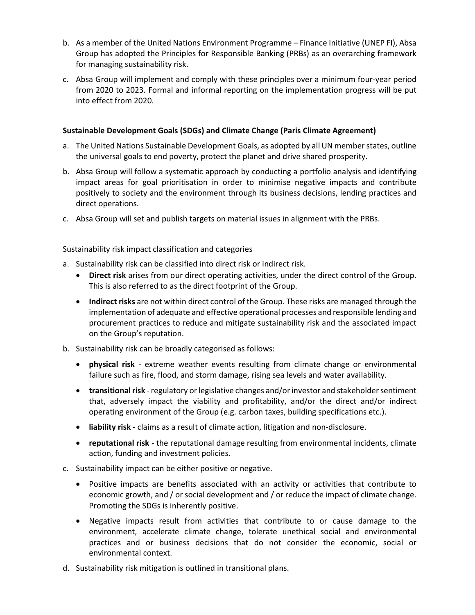- b. As a member of the United Nations Environment Programme Finance Initiative (UNEP FI), Absa Group has adopted the Principles for Responsible Banking (PRBs) as an overarching framework for managing sustainability risk.
- c. Absa Group will implement and comply with these principles over a minimum four-year period from 2020 to 2023. Formal and informal reporting on the implementation progress will be put into effect from 2020.

## Sustainable Development Goals (SDGs) and Climate Change (Paris Climate Agreement)

- a. The United Nations Sustainable Development Goals, as adopted by all UN member states, outline the universal goals to end poverty, protect the planet and drive shared prosperity.
- b. Absa Group will follow a systematic approach by conducting a portfolio analysis and identifying impact areas for goal prioritisation in order to minimise negative impacts and contribute positively to society and the environment through its business decisions, lending practices and direct operations.
- c. Absa Group will set and publish targets on material issues in alignment with the PRBs.

Sustainability risk impact classification and categories

- a. Sustainability risk can be classified into direct risk or indirect risk.
	- Direct risk arises from our direct operating activities, under the direct control of the Group. This is also referred to as the direct footprint of the Group.
	- Indirect risks are not within direct control of the Group. These risks are managed through the implementation of adequate and effective operational processes and responsible lending and procurement practices to reduce and mitigate sustainability risk and the associated impact on the Group's reputation.
- b. Sustainability risk can be broadly categorised as follows:
	- physical risk extreme weather events resulting from climate change or environmental failure such as fire, flood, and storm damage, rising sea levels and water availability.
	- transitional risk regulatory or legislative changes and/or investor and stakeholder sentiment that, adversely impact the viability and profitability, and/or the direct and/or indirect operating environment of the Group (e.g. carbon taxes, building specifications etc.).
	- liability risk claims as a result of climate action, litigation and non-disclosure.
	- reputational risk the reputational damage resulting from environmental incidents, climate action, funding and investment policies.
- c. Sustainability impact can be either positive or negative.
	- Positive impacts are benefits associated with an activity or activities that contribute to economic growth, and / or social development and / or reduce the impact of climate change. Promoting the SDGs is inherently positive.
	- Negative impacts result from activities that contribute to or cause damage to the environment, accelerate climate change, tolerate unethical social and environmental practices and or business decisions that do not consider the economic, social or environmental context.
- d. Sustainability risk mitigation is outlined in transitional plans.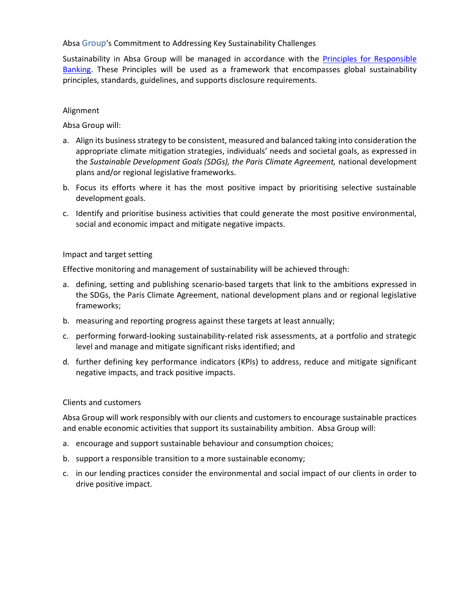Absa Group's Commitment to Addressing Key Sustainability Challenges

Sustainability in Absa Group will be managed in accordance with the Principles for Responsible Banking. These Principles will be used as a framework that encompasses global sustainability principles, standards, guidelines, and supports disclosure requirements.

#### Alignment

Absa Group will:

- a. Align its business strategy to be consistent, measured and balanced taking into consideration the appropriate climate mitigation strategies, individuals' needs and societal goals, as expressed in the Sustainable Development Goals (SDGs), the Paris Climate Agreement, national development plans and/or regional legislative frameworks.
- b. Focus its efforts where it has the most positive impact by prioritising selective sustainable development goals.
- c. Identify and prioritise business activities that could generate the most positive environmental, social and economic impact and mitigate negative impacts.

#### Impact and target setting

Effective monitoring and management of sustainability will be achieved through:

- a. defining, setting and publishing scenario-based targets that link to the ambitions expressed in the SDGs, the Paris Climate Agreement, national development plans and or regional legislative frameworks;
- b. measuring and reporting progress against these targets at least annually;
- c. performing forward-looking sustainability-related risk assessments, at a portfolio and strategic level and manage and mitigate significant risks identified; and
- d. further defining key performance indicators (KPIs) to address, reduce and mitigate significant negative impacts, and track positive impacts.

#### Clients and customers

Absa Group will work responsibly with our clients and customers to encourage sustainable practices and enable economic activities that support its sustainability ambition. Absa Group will:

- a. encourage and support sustainable behaviour and consumption choices;
- b. support a responsible transition to a more sustainable economy;
- c. in our lending practices consider the environmental and social impact of our clients in order to drive positive impact.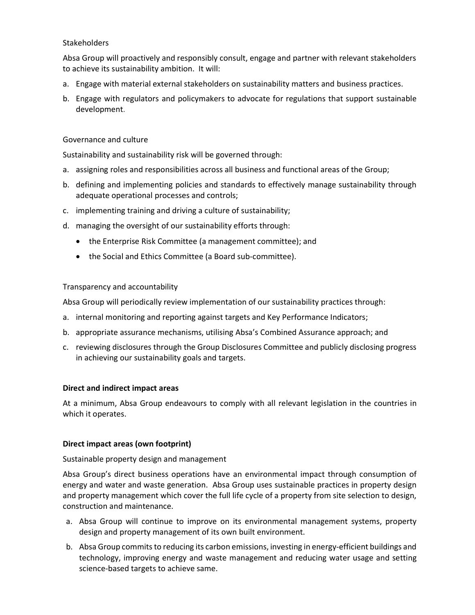## **Stakeholders**

Absa Group will proactively and responsibly consult, engage and partner with relevant stakeholders to achieve its sustainability ambition. It will:

- a. Engage with material external stakeholders on sustainability matters and business practices.
- b. Engage with regulators and policymakers to advocate for regulations that support sustainable development.

#### Governance and culture

Sustainability and sustainability risk will be governed through:

- a. assigning roles and responsibilities across all business and functional areas of the Group;
- b. defining and implementing policies and standards to effectively manage sustainability through adequate operational processes and controls;
- c. implementing training and driving a culture of sustainability;
- d. managing the oversight of our sustainability efforts through:
	- the Enterprise Risk Committee (a management committee); and
	- the Social and Ethics Committee (a Board sub-committee).

#### Transparency and accountability

Absa Group will periodically review implementation of our sustainability practices through:

- a. internal monitoring and reporting against targets and Key Performance Indicators;
- b. appropriate assurance mechanisms, utilising Absa's Combined Assurance approach; and
- c. reviewing disclosures through the Group Disclosures Committee and publicly disclosing progress in achieving our sustainability goals and targets.

#### Direct and indirect impact areas

At a minimum, Absa Group endeavours to comply with all relevant legislation in the countries in which it operates.

## Direct impact areas (own footprint)

Sustainable property design and management

Absa Group's direct business operations have an environmental impact through consumption of energy and water and waste generation. Absa Group uses sustainable practices in property design and property management which cover the full life cycle of a property from site selection to design, construction and maintenance.

- a. Absa Group will continue to improve on its environmental management systems, property design and property management of its own built environment.
- b. Absa Group commits to reducing its carbon emissions, investing in energy-efficient buildings and technology, improving energy and waste management and reducing water usage and setting science-based targets to achieve same.